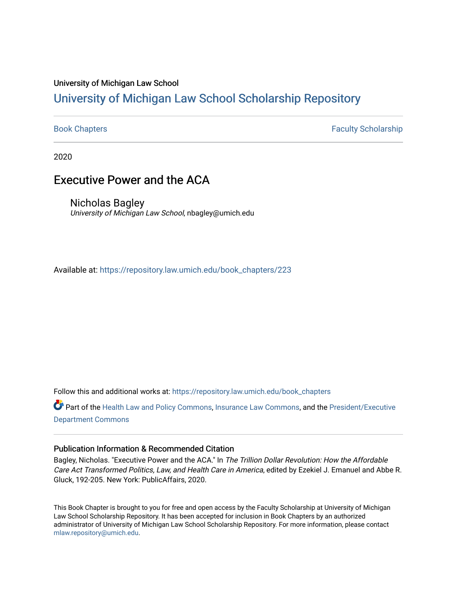#### University of Michigan Law School

#### [University of Michigan Law School Scholarship Repository](https://repository.law.umich.edu/)

[Book Chapters](https://repository.law.umich.edu/book_chapters) Faculty Scholarship

2020

### Executive Power and the ACA

Nicholas Bagley

University of Michigan Law School, nbagley@umich.edu

Available at: [https://repository.law.umich.edu/book\\_chapters/223](https://repository.law.umich.edu/book_chapters/223) 

Follow this and additional works at: [https://repository.law.umich.edu/book\\_chapters](https://repository.law.umich.edu/book_chapters?utm_source=repository.law.umich.edu%2Fbook_chapters%2F223&utm_medium=PDF&utm_campaign=PDFCoverPages)

Part of the [Health Law and Policy Commons](http://network.bepress.com/hgg/discipline/901?utm_source=repository.law.umich.edu%2Fbook_chapters%2F223&utm_medium=PDF&utm_campaign=PDFCoverPages), [Insurance Law Commons](http://network.bepress.com/hgg/discipline/607?utm_source=repository.law.umich.edu%2Fbook_chapters%2F223&utm_medium=PDF&utm_campaign=PDFCoverPages), and the [President/Executive](http://network.bepress.com/hgg/discipline/1118?utm_source=repository.law.umich.edu%2Fbook_chapters%2F223&utm_medium=PDF&utm_campaign=PDFCoverPages) [Department Commons](http://network.bepress.com/hgg/discipline/1118?utm_source=repository.law.umich.edu%2Fbook_chapters%2F223&utm_medium=PDF&utm_campaign=PDFCoverPages)

#### Publication Information & Recommended Citation

Bagley, Nicholas. "Executive Power and the ACA." In The Trillion Dollar Revolution: How the Affordable Care Act Transformed Politics, Law, and Health Care in America, edited by Ezekiel J. Emanuel and Abbe R. Gluck, 192-205. New York: PublicAffairs, 2020.

This Book Chapter is brought to you for free and open access by the Faculty Scholarship at University of Michigan Law School Scholarship Repository. It has been accepted for inclusion in Book Chapters by an authorized administrator of University of Michigan Law School Scholarship Repository. For more information, please contact [mlaw.repository@umich.edu.](mailto:mlaw.repository@umich.edu)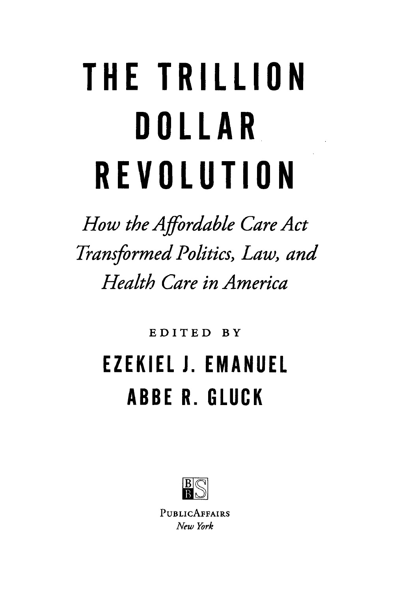# **THE TRILLION DOLLAR REVOLUTION**

*How the Affordable Care Act Transformed Politics, Law, and Health Care in America* 

## EDITED BY **EZEKIEL J. EMANUEL ABBE R. GLUCK**



**PUBLICAFFAIRS** *New York*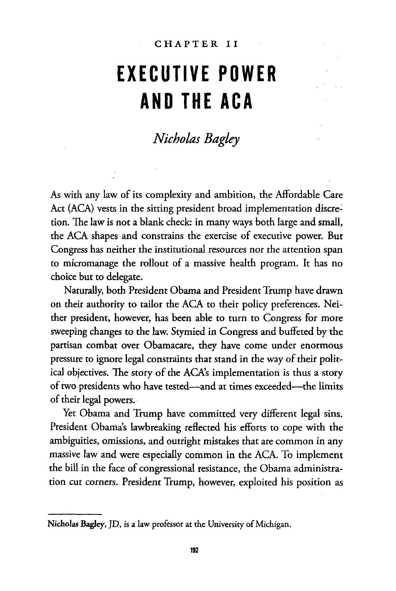## **EXECUTIVE POWER AND THE ACA**

#### *Nicholas Bagley*

As with any law of its complexity and ambition, the Affordable Care Act (ACA) vests in the sitting president broad implementation discretion. The law is not a blank check: in many ways both large and small, the ACA shapes and constrains the exercise of executive power. But Congress has neither the institutional resources nor the attention span to micromanage the rollout of a massive health program. It has no choice but to delegate.

Naturally, both President Obama and President Trump have drawn on their authority to tailor the ACA to their policy preferences. Neither president, however, has been able to turn to Congress for more sweeping changes to the law. Stymied in Congress and buffeted by the partisan combat over Obamacare, they have come under enormous pressure to ignore legal constraints that stand in the way of their political objectives. The story of the ACA's implementation is thus a story of two presidents who have tested-and at times exceeded-the limits of their legal powers.•

Yet Obama and Trump have committed very different legal sins. President Obama's lawbreaking reflected his efforts to cope with the ambiguities, omissions, and outright mistakes that are common in any massive law and were especially common in the ACA. To implement the bill in the face of congressional resistance, the Obama administration cut corners. President Trump, however, exploited his position as

**Nicholas Bagley,** JD, is a law professor at the University of Michigan.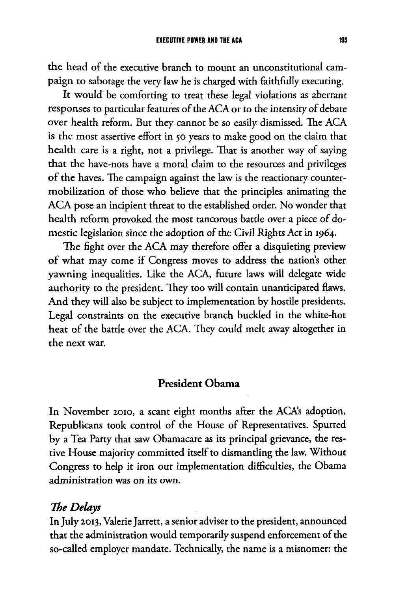the head of the executive branch to mount an unconstitutional campaign to sabotage the very law he is charged with faithfully executing.

It would' be comforting to treat these legal violations as aberrant responses to particular features of the ACA or to the intensity of debate over health reform. But they cannot be so easily dismissed. The ACA is the most assertive effort in 50 years to make good on the claim that health care is a right, not a privilege. That is another way of saying that the have-nots have a moral claim to the resources and privileges of the haves. The campaign against the law is the reactionary countermobilization of those who believe that the principles animating the ACA pose an incipient threat to the established order. No wonder that health reform provoked the most rancorous battle over a piece of domestic legislation since the adoption of the Civil Rights Act in 1964.

The fight over the ACA may therefore offer a disquieting preview of what may come if Congress moves to address the nation's other yawning inequalities. Like the ACA, future laws will delegate wide authority to the president. They too will contain unanticipated flaws. And they will also be subject to implementation by hostile presidents. Legal constraints on the executive branch buckled in the white-hot heat of the battle over the ACA. They could melt away altogether in the next war.

#### **President Obama**

In November 2010, a scant eight months after the ACA's adoption, Republicans took control of the House of Representatives. Spurred by a Tea Party that saw Obamacare as its principal grievance, the restive House majority committed itself to dismantling the law. Without Congress to help it iron out implementation difficulties, the Obama administration was on its own.

#### *The Delays*

In July 2013, Valerie Jarrett, a senior adviser to the president, announced that the administration would temporarily suspend enforcement of the so-called employer mandate. Technically, the name is a misnomer: the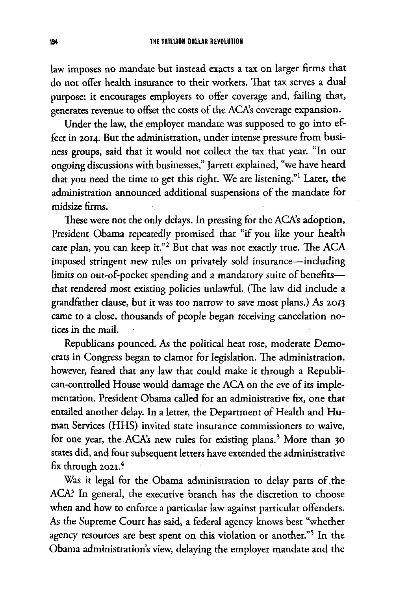law imposes no mandate but instead exacts a tax on larger firms that do not offer health insurance to their workers. That tax serves a dual purpose: it encourages employers to offer coverage and, failing that, generates revenue to offset the costs of the ACA's coverage expansion.

Under the law, the employer mandate was supposed to go into effect in 2014. But the administration, under intense pressure from business groups, said that it would not collect the tax that year. "In our ongoing discussions with businesses," Jarrett explained, "we have heard that you need the time to get this right. We are listening."1 Later, the administration announced additional suspensions of the mandate for midsize firms.

These were not the only delays. In pressing for the ACA's adoption, President Obama repeatedly promised that "if you like your health care plan, you can keep it."<sup>2</sup> But that was not exactly true. The ACA imposed stringent new rules on privately sold insurance-including limits on out-of-pocket spending and a mandatory suite of benefitsthat rendered most existing policies unlawful.. (The law did include a grandfather clause, but it was too narrow to save most plans.) As 2013 came to a dose, thousands of people began receiving cancelation notices in the mail.

Republicans pounced. As the political heat rose, moderate Democrats in Congress began to clamor for legislation. The administration, however, feared that any law that could make it through a Republican-controlled House would damage the ACA on the eve of its implementation. President Obama called for an administrative fix, one that entailed another delay. In a letter, the Department of Health and Human Services (HHS) invited state insurance commissioners to waive, for one year, the ACA's new rules for existing plans.<sup>3</sup> More than 30 states did, and four subsequent letters have extended the administrative fix through  $2021.^4$ 

Was it legal for the Obama administration to delay parts of the ACA? In general, the executive branch has the discretion to choose when and how to enforce a particular law against particular offenders. As the Supreme Court has said, a federal agency knows best "whether agency resources are best spent on this violation or another."<sup>5</sup> In the Obama administration's view, delaying the employer mandate and the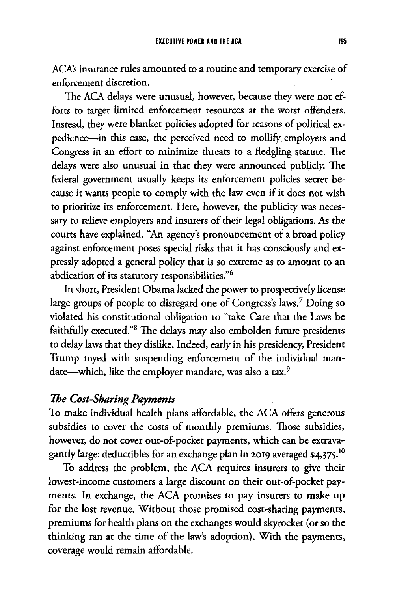ACA's insurance rules amounted to a routine and temporary exercise of enforcement discretion.

The ACA delays were unusual, however, because they were not efforts to. target limited enforcement resources at the worst offenders. Instead, they were blanket policies adopted for reasons of political expedience-in this case, the perceived need to mollify employers and Congress in an effort to minimize threats to a fledgling statute. The delays were also unusual in that they were announced publicly. The federal government usually keeps its enforcement policies secret because it wants people to comply with the law even if it does not wish to prioritize its enforcement. Here, however, the publicity was necessary to relieve employers and insurers of their legal obligations. As the courts. have explained, ''An agency's pronouncement of a broad policy against enforcement poses special risks that it has consciously and expressly adopted a general policy that is so extreme as to amount to an abdication of its statutory responsibilities."<sup>6</sup>

In short, President Obama lacked the power to prospectively license large groups of people to disregard one of Congress's laws.7 Doing so violated his constitutional obligation to "take Care that the Laws be faithfully executed."<sup>8</sup> The delays may also embolden future presidents to delay laws that they dislike. Indeed, early in his presidency, President Trump toyed with suspending enforcement of the individual mandate-which, like the employer mandate, was also a tax.<sup>9</sup>

#### *1he Cost-Sharing Payments*

To make individual health plans affordable, the ACA offers generous subsidies to cover the costs of monthly premiums. Those subsidies, however, do not cover out-of-pocket payments, which can be extravagantly large: deductibles for an exchange plan in 2019 averaged \$4,375.<sup>10</sup>

To address the problem, the ACA requires insurers to give their lowest-income customers a large discount on their out-of-pocket payments. In exchange, the ACA promises to pay insurers to make up for the lost revenue. Without those promised cost-sharing payments, premiums for health plans on the exchanges would skyrocket (or so the thinking ran at the time of the law's adoption). With the payments, coverage would remain affordable.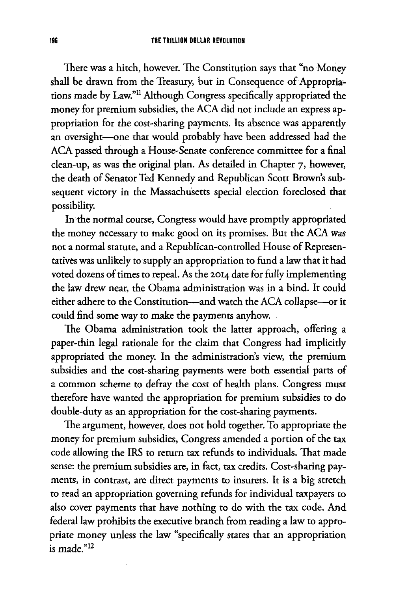There was a hitch, however. The Constitution says that "no Money shall be drawn from the Treasury, but in Consequence of Appropriations made by Law."11 Although Congress specifically appropriated the money for premium subsidies, the ACA did not include an express appropriation for the cost-sharing payments. Its absence was apparently an oversight-one that would probably have been addressed had the ACA passed through a House-Senate conference committee for a final clean-up, as was the original plan. As detailed in Chapter 7, however, the death of Senator Ted Kennedy and Republican Scott Brown's subsequent victory in the Massachusetts special election foreclosed that possibility.

In the normal course, Congress would have promptly appropriated the money necessary to make good on its promises. But the ACA was not a normal statute, and a Republican-controlled House of Representatives was unlikely to supply an appropriation to fund a law that it had voted dozens of times to repeal. As the 2014 date for fully implementing the law drew near, the Obama administration was in a bind. It could either adhere to the Constitution-and watch the ACA collapse-or it could find some way to make the payments anyhow.

The Obama administration took the latter approach, offering a paper-thin legal rationale for the claim that Congress had implicitly appropriated the money. In the administration's view, the premium subsidies and the cost-sharing payments were both essential parts of a common scheme to defray the cost of health plans. Congress must therefore have wanted the appropriation for premium subsidies to do double-duty as an appropriation for the cost-sharing payments.

The argument, however, does not hold together. To appropriate the money for premium subsidies, Congress amended a portion of the tax code allowing the IRS to return tax refunds to individuals. That made sense: the premium subsidies are, in fact, tax credits. Cost-sharing payments, in contrast, are direct payments to insurers. It is a big stretch to read an appropriation governing refunds for individual taxpayers to also cover payments that have nothing to do with the tax code. And federal law prohibits the executive branch from reading a law to appropriate money unless the law "specifically states that an appropriation is made."12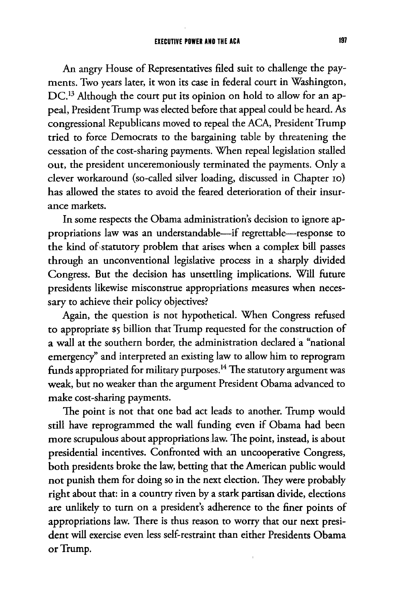#### EXECUTIVE **POWER AND** THE ACA **197**

An angry House of Representatives filed suit to challenge the payments. Two years later, it won its case in federal court in Washington, DC.<sup>13</sup> Although the court put its opinion on hold to allow for an appeal, President Trump was elected before that appeal could be heard. As congressional Republicans moved to repeal the ACA, President Trump tried to force Democrats to the bargaining table by threatening the cessation of the cost-sharing payments. When repeal legislation stalled out, the president unceremoniously terminated the payments. Only a clever workaround (so-called silver loading, discussed in Chapter IO) has allowed the states to avoid the feared deterioration of their insurance markets.

In some respects the Obama administration's decision to ignore appropriations law was an understandable-if regrettable-response to the kind of ,statutory problem that arises when a complex bill passes through an unconventional legislative process in a sharply divided Congress. But the decision has unsettling implications. Will future presidents likewise misconstrue appropriations measures when necessary to achieve their policy objectives?

Again, the question is not hypothetical. When Congress refused to appropriate \$5 billion that Trump requested for the construction of a wall at the southern border, the administration declared a "national emergency" and interpreted an existing law to allow him to reprogram funds appropriated for military purposes.<sup>14</sup> The statutory argument was **weak,** but no weaker than the argument President Obama advanced to make cost-sharing payments.

The point is not that one bad act leads to another. Trump would still have reprogrammed the wall funding even if Obama had been more scrupulous about appropriations law. The point, instead, is about presidential incentives. Confronted with an uncooperative Congress, both presidents broke the law, betting that the American public would not punish them for doing so in the next election. They were probably right about that: in a country riven by a stark partisan divide, elections are unlikely to turn on a president's adherence to the finer points of appropriations law. There is thus reason to worry that our next president will exercise even less self-restraint than either Presidents Obama or Trump.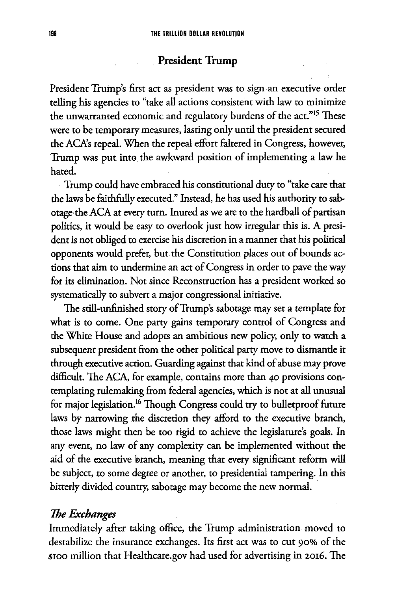#### **President Trump**

President Trump's first act as president was to sign an executive order telling his agencies to "take all actions consistent with law to minimize the unwarranted economic and regulatory burdens of the act."<sup>15</sup> These were to be temporary measures, lasting only until the president secured the ACA's repeal. When the repeal effort faltered in Congress, however, Trump was put into the awkward position of implementing a law he hated.

• Trump could have embraced his constitutional duty to "take care that the laws be faithfully executed." Instead, he has used his authority to sabotage the ACA at every turn. Inured as we are to the hardball of partisan politics, it would be easy to overlook just how irregular this is. A president is not obliged to exercise his discretion in a manner that his political opponents would prefer, but the Constitution places out of bounds actions that aim to undermine an act of Congress in order to pave the way for its elimination. Not since Reconstruction has a president worked so systematically to subvert a major congressional initiative.

The still-unfinished story of Trump's sabotage may set a template for what is to come. One party gains temporary control of Congress and the White House and adopts an ambitious new policy, only to watch a subsequent president from the other political party move to dismantle it through executive action. Guarding against that kind of abuse may prove difficult. The ACA, for example, contains more than 40 provisions contemplating rulemaking from federal agencies, which is not at all unusual for major legislation.<sup>16</sup> Though Congress could try to bulletproof future laws by narrowing the discretion they afford to the executive branch, those laws might then be too rigid to achieve the legislature's goals. In any event, no law of any complexity cari be implemented without the aid of the executive branch, meaning that every significant reform will be subject, to some degree or another, to presidential tampering. In this bitterly divided country, sabotage may become the new normal.

#### *Ihe Exchanges*

Immediately after taking office, the Trump administration moved to destabilize the insurance exchanges. Its first act was to cut 90% of the \$l00 *million* that Healthcare.gov had used for advertising *in* 2016. The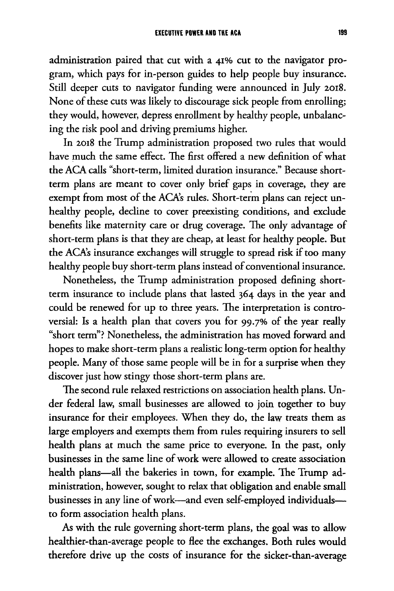administration paired that cut with a 41% cut to the navigator program, which pays for in-person guides to help people buy insurance. Still deeper cuts to navigator funding were announced in July 2018. None of these cuts was likely to discourage sick people from enrolling; they would, however, depress enrollment by healthy people, unbalancing the risk pool and driving premiums higher.

In 2018 the Trump administration proposed two rules that would have much the same effect. The first offered a new definition of what the ACA calls "short-term, limited duration insurance." Because shortterm plans are meant to cover only brief gaps in coverage, they are exempt from most of the ACA's rules. Short-term plans can reject unhealthy people, decline to cover preexisting conditions, and exclude benefits like maternity care or drug coverage. The only advantage of short-term plans is that they are cheap, at least for healthy people. But the ACA's insurance exchanges will struggle to spread risk if too many healthy people buy short-term plans instead of conventional insurance.

Nonetheless, the Trump administration proposed defining shortterm insurance to include plans that lasted 364 days in the year and could be renewed for up to three years. The interpretation is controversial: Is a health plan that covers you for 99. 7% of the year really "short term"? Nonetheless, the administration has moved forward and hopes to make short-term plans a realistic long-term option for healthy people. Many of those same people will be in for a surprise when they discover just how stingy those short-term plans are.

The second rule relaxed restrictions on association health plans. Under federal law, small businesses are allowed to join together to buy insurance for their employees. When they do, the law treats them as large employers and exempts them from rules requiring insurers to sell health plans at much the same price to everyone. In the past, only businesses in the same line of work were allowed to create association health plans-all the bakeries in town, for example. The Trump administration, however, sought to relax that obligation and enable small businesses in any line of work-and even self-employed individualsto form association health plans.

As with the rule governing short-term plans, the goal was to allow healthier-than-average people to flee the exchanges. Both rules would therefore drive up the costs of insurance for the sicker-than-average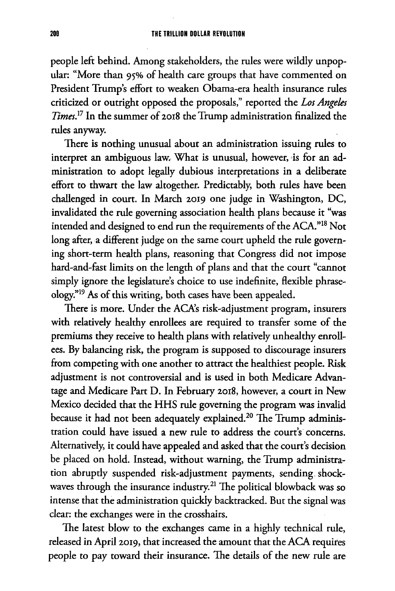people left behind. Among stakeholders, the rules were wildly unpopular: "More than 95% of health care groups that have commented on President Trump's effort to weaken Obama-era health insurance rules criticized or outright opposed the proposals," reported the *Los Angeles Times.*<sup>17</sup> In the summer of 2018 the Trump administration finalized the rules anyway.

There is nothing unusual about an administration issuing rules to interpret an ambiguous law. What is unusual, however, is for an administration to adopt legally dubious interpretations in a deliberate effort to thwart the law altogether. Predictably, both rules have been challenged in court. In March 2019 one judge in Washington, DC, invalidated the rule governing association health plans because it "was intended and designed to end run the requirements of the ACA."18 Not long after, a different judge on the same court upheld the rule governing short-term health plans, reasoning that Congress did not impose hard-and-fast limits on the length of plans and that the court "cannot simply ignore the legislature's choice to use indefinite, flexible phraseology."19 As of this writing, both cases have been appealed.

There is more. Under the ACA's risk-adjustment program, insurers with relatively healthy enrollees are required to transfer some of the premiums they receive to health plans with relatively unhealthy enrollees. By balancing risk, the program is supposed to discourage insurers from competing with one another to attract the healthiest people. Risk adjustment is not controversial and is used in both Medicare Advantage and Medicare Part D. In February 2018, however, a court in New Mexico decided that the HHS rule govetning the program was invalid because it had not been adequately explained.<sup>20</sup> The Trump administration could have issued a new rule to address the court's concerns. Alternatively, it could have appealed and asked that the court's decision be placed on hold. Instead, without warning, the Trump administration abruptly suspended risk-adjustment payments, sending. shockwaves through the insurance industry.<sup>21</sup> The political blowback was so intense that the administration quickly backtracked. But the signal was dear: the exchanges were in the crosshairs.

The latest blow to the exchanges came in a highly technical rule, released in April 2019, that increased the amount that the ACA requites people to pay toward their insurance. The details of the new rule are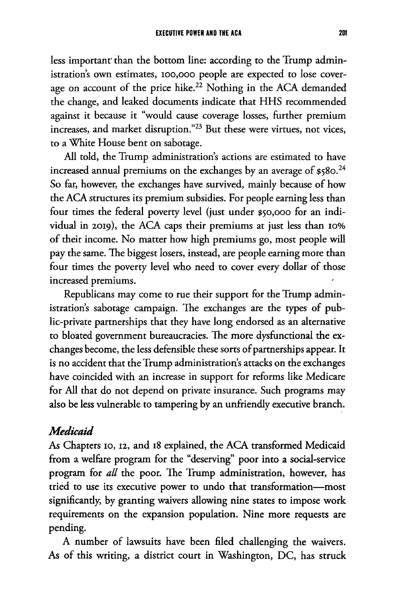less important' than the bottom line: according to the Trump administration's own estimates, IO0,ooo people are expected to lose coverage on account of the price hike.<sup>22</sup> Nothing in the ACA demanded the change, and leaked documents jndicate that HHS recommended against it because it "would cause coverage losses, further premium increases, and market disruption."<sup>23</sup> But these were virtues, not vices, to a White House bent on sabotage.

All told, the Trump administration's actions are estimated to have increased annual premiums on the exchanges by an average of  $$580.<sup>24</sup>$ So far, however, the exchanges have survived, mainly because of how the ACA structures its premium subsidies. For people earning less than four times the federal poverty level (just under \$50,000 for an individual in 2019), the ACA caps their premiums at just less than IO% of their income. No matter how high premiums go, most people will pay the same. The biggest losers, instead, are people earning more than four times the poverty level who need to cover every dollar of those increased premiums.

Republicans may come to rue their support for the Trump administration's sabotage campaign. The exchanges are the types of public-private partnerships that they have long endorsed as an alternative to bloated government bureaucracies. The more dysfunctional the exchanges become, the less defensible these sorts of partnerships appear. It is no accident that the Trump administration's attacks on the exchanges have coincided with an increase in support for reforms like Medicare for All that do not depend on private insurance. Such programs may also be less vulnerable to tampering by an unfriendly executive branch.

#### *Medicaid*

As Chapters IO, 12, and 18 explained, the ACA transformed Medicaid from a welfare program for the "deserving" poor into a social-service program for *all* the poor. The Trump administration, however, has tried to use its executive power to undo that transformation-most significantly, by granting waivers allowing nine states to impose work requirements on the expansion population. Nine more requests are pending.

A number of lawsuits have been filed challenging the waivers. As of this writing, a district court in Washington, DC, has struck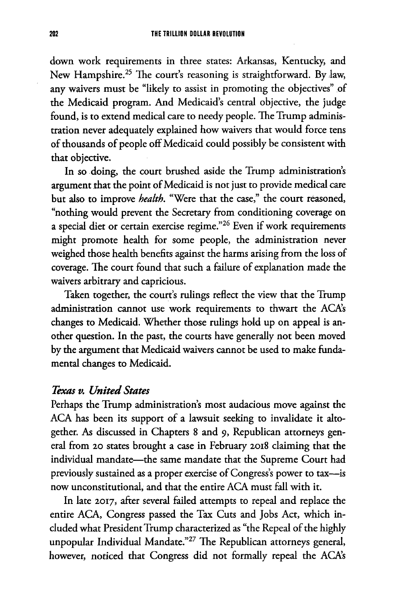down work requirements in three states: Arkansas, Kentucky, and New Hampshire.<sup>25</sup> The court's reasoning is straightforward. By law, any waivers must be "likely to assist in promoting the objectives" of the Medicaid program. And Medicaid's central objective, the judge found, is to extend medical care to needy people. The Trump administration never adequately explained how waivers that would force tens of thousands of people off Medicaid could possibly be consistent with that objective.

In so doing, the court brushed aside the Trump administration's argument that the point of Medicaid is not just to provide medical care hut also to improve *health.* "Were that the case," the court reasoned, "nothing would prevent the Secretary from conditioning coverage on a special diet or certain exercise regime."26 Even if work requirements might promote health for some people, the administration never weighed those health benefits against the harms arising from the loss of coverage. The court found that such a failure of explanation made the waivers arbitrary and capricious.

Taken together, the court's rulings reflect the view that the Trump administration cannot use work requirements to thwart the ACA's changes to Medicaid. Whether those rulings hold up on appeal is another question. In the past, the courts have generally not been moved by the argument that Medicaid waivers cannot be used to make fundamental changes to Medicaid.

#### *Texas v. United States*

Perhaps the Trump administration's most audacious move against the ACA has been its support of a lawsuit seeking to invalidate it altogether. As discussed in Chapters 8 and 9, Republican attorneys general from 20 states brought a case in February 2018 claiming that the individual mandate-the same mandate that the Supreme Court had previously sustained as a proper exercise of Congress's power to tax-is now unconstitutional, and that the entire ACA must fall with it.

In late 2017, after several failed attempts to repeal and replace the entire ACA, Congress passed the Tax Cuts and Jobs Act, which included what President Trump characterized as "the Repeal of the highly unpopular Individual Mandate."27 The Republican attorneys general, however, noticed that Congress did not formally repeal the ACA's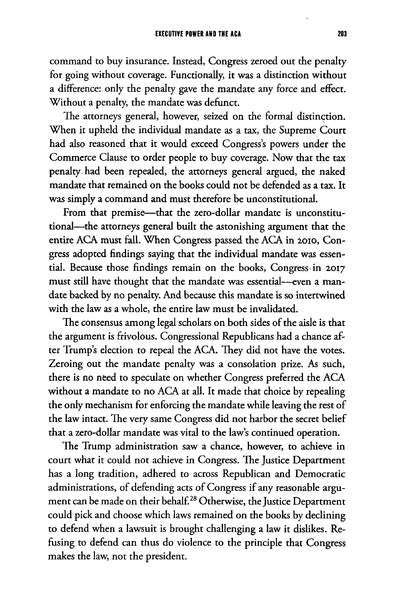command to buy insurance. Instead, Congress zeroed out the penalty for going without coverage. Functionally, it was a distinction without a difference: only the penalty gave the mandate any force and effect. Without a penalty, the mandate was defunct.

The attorneys general, however, seized on the formal distinction. When it upheld the individual mandate as a tax, the Supreme Court had also reasoned that it would exceed Congress's powers under the Commerce Clause to order people to buy coverage. Now that the tax penalty had been repealed, the attorneys general argued, the naked mandate that remained on the books could not be defended as a tax. It was simply a command and must therefore be unconstitutional.

From that premise-that the zero-dollar mandate is unconstitutional-the attorneys general built the astonishing argument that the entire ACA must fall. When Congress passed the ACA in 2010, Congress adopted findings saying that the individual mandate was essential. Because those findings remain on the books, Congress in 2017 must still have thought that the mandate was essential-even a mandate backed by no penalty. And because this mandate is so intertwined with the law as a whole, the entire law must be invalidated.

The consensus among legal scholars on both sides of the aisle is that the argument is frivolous. Congressional Republicans had a chance after Trump's election to repeal the ACA They did not have the votes. Zeroing out the mandate penalty was a consolation prize. As such, there is no need to speculate on whether Congress preferred the ACA without a mandate to no ACA at all. It made that choice by repealing the only mechanism for enforcing the mandate while leaving the rest of the law intact. The very same Congress did not harbor the secret belief that a zero-dollar mandate was vital to the law's continued operation.

The Trump administration saw a chance, however, to achieve in court what it could not achieve in Congress. The Justice Department has a long tradition, adhered to across Republican and Democratic administrations, of defending acts of Congress if any reasonable argument can be made on their behalf.<sup>28</sup> Otherwise, the Justice Department could pick and choose which laws remained on the books by declining to defend when a lawsuit is brought challenging a law it dislikes. Refusing to defend can thus do violence to the principle that Congress makes the law, not the president.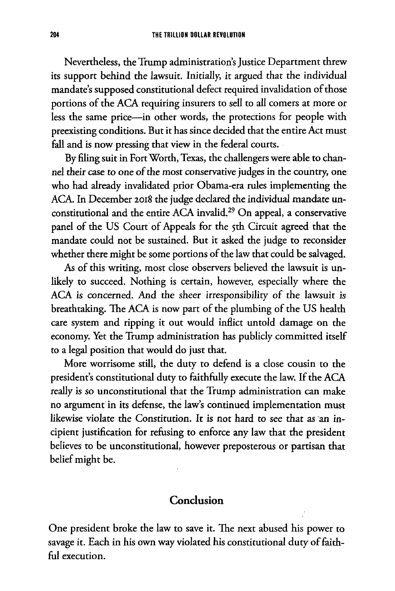Nevertheless, the Trump administration's Justice Department threw its support behind the lawsuit. Initially, it argued that the individual mandate's supposed constitutional defect required invalidation of those portions of the ACA requiring insurers to sell to all comers at more or less the same price-in other words, the protections for people with preexisting conditions. But it has since decided that the entire Act must fall and is now pressing that view in the federal courts.

By filing suit in Fort Worth, Texas, the challengers were able to channel their case to one of the most conservative judges in the country, one who had already invalidated prior Obama-era rules implementing the ACA. In December 2018 the judge declared the individual mandate unconstitutional and the entire ACA invalid. 29 On appeal, a conservative panel of the US Court of Appeals for the 5th Circuit agreed that the mandate could not be sustained. But it asked the judge to reconsider whether there might be some portions of the law that could be salvaged.

As of this writing, most close observers believed the lawsuit is unlikely to succeed. Nothing is certain, however, especially where the ACA is concerned. And the sheer irresponsibility of the lawsuit is breathtaking. The ACA is now part of the plumbing of the US health care system and ripping it out would inflict untold damage on the economy. Yet the Trump administration has publicly committed itself to a legal position that would do just that.

More worrisome still, the duty to defend is a close cousin to the president's constitutional duty to faithfully execute the law. If the ACA really is so unconstitutional that the Trump administration can make no argument in its defense, the law's continued implementation must likewise violate the Constitution. It is not hard to see that as an incipient justification for refusing to enforce any law that the president believes to be unconstitutional, however preposterous or partisan that belief might be.

#### **Conclusion**

One president broke the law to save it. The next abused his power to savage it. Each in his own way violated his constitutional duty of faithful execution.